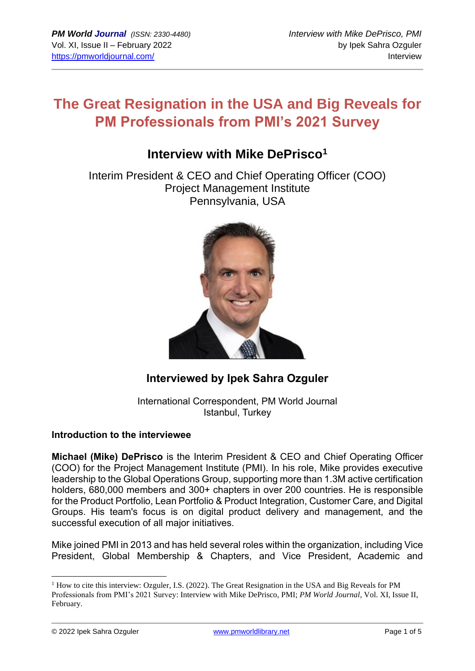# **The Great Resignation in the USA and Big Reveals for PM Professionals from PMI's 2021 Survey**

# **Interview with Mike DePrisco<sup>1</sup>**

Interim President & CEO and Chief Operating Officer (COO) Project Management Institute Pennsylvania, USA



## **Interviewed by Ipek Sahra Ozguler**

International Correspondent, PM World Journal Istanbul, Turkey

### **Introduction to the interviewee**

**Michael (Mike) DePrisco** is the Interim President & CEO and Chief Operating Officer (COO) for the Project Management Institute (PMI). In his role, Mike provides executive leadership to the Global Operations Group, supporting more than 1.3M active certification holders, 680,000 members and 300+ chapters in over 200 countries. He is responsible for the Product Portfolio, Lean Portfolio & Product Integration, Customer Care, and Digital Groups. His team's focus is on digital product delivery and management, and the successful execution of all major initiatives.

Mike joined PMI in 2013 and has held several roles within the organization, including Vice President, Global Membership & Chapters, and Vice President, Academic and

© 2022 Ipek Sahra Ozguler www.pmworldlibrary.net Page 1 of 5

 $1$  How to cite this interview: Ozguler, I.S. (2022). The Great Resignation in the USA and Big Reveals for PM Professionals from PMI's 2021 Survey: Interview with Mike DePrisco, PMI; *PM World Journal*, Vol. XI, Issue II, February.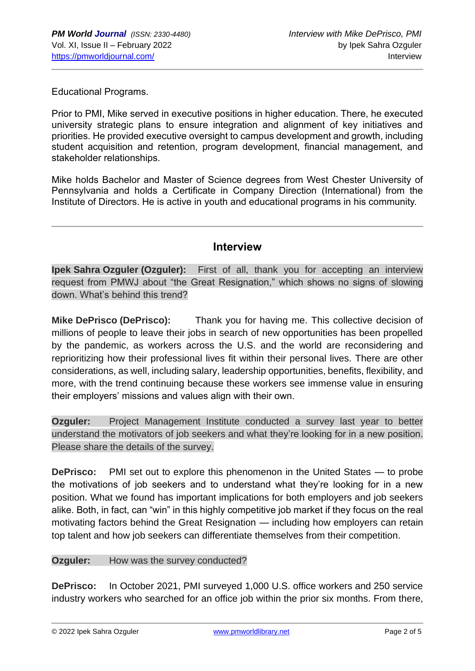Educational Programs.

Prior to PMI, Mike served in executive positions in higher education. There, he executed university strategic plans to ensure integration and alignment of key initiatives and priorities. He provided executive oversight to campus development and growth, including student acquisition and retention, program development, financial management, and stakeholder relationships.

Mike holds Bachelor and Master of Science degrees from West Chester University of Pennsylvania and holds a Certificate in Company Direction (International) from the Institute of Directors. He is active in youth and educational programs in his community.

### **Interview**

**Ipek Sahra Ozguler (Ozguler):** First of all, thank you for accepting an interview request from PMWJ about "the Great Resignation," which shows no signs of slowing down. What's behind this trend?

**Mike DePrisco (DePrisco):** Thank you for having me. This collective decision of millions of people to leave their jobs in search of new opportunities has been propelled by the pandemic, as workers across the U.S. and the world are reconsidering and reprioritizing how their professional lives fit within their personal lives. There are other considerations, as well, including salary, leadership opportunities, benefits, flexibility, and more, with the trend continuing because these workers see immense value in ensuring their employers' missions and values align with their own.

**Ozguler:** Project Management Institute conducted a survey last year to better understand the motivators of job seekers and what they're looking for in a new position. Please share the details of the survey.

**DePrisco:** PMI set out to explore this phenomenon in the United States — to probe the motivations of job seekers and to understand what they're looking for in a new position. What we found has important implications for both employers and job seekers alike. Both, in fact, can "win" in this highly competitive job market if they focus on the real motivating factors behind the Great Resignation — including how employers can retain top talent and how job seekers can differentiate themselves from their competition.

#### **Ozguler:** How was the survey conducted?

**DePrisco:** In October 2021, PMI surveyed 1,000 U.S. office workers and 250 service industry workers who searched for an office job within the prior six months. From there,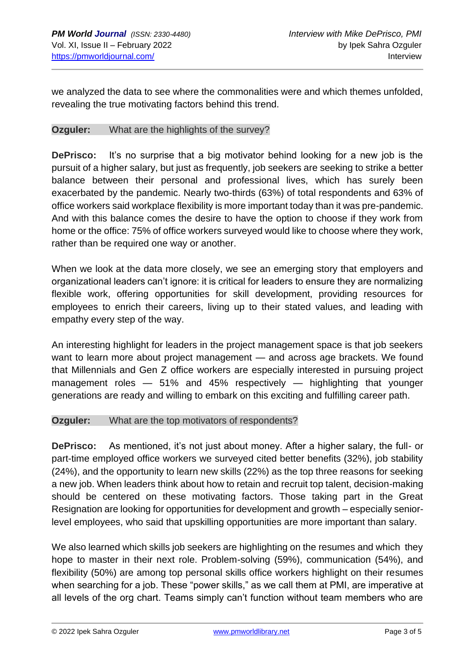we analyzed the data to see where the commonalities were and which themes unfolded, revealing the true motivating factors behind this trend.

#### **Ozguler:** What are the highlights of the survey?

**DePrisco:** It's no surprise that a big motivator behind looking for a new job is the pursuit of a higher salary, but just as frequently, job seekers are seeking to strike a better balance between their personal and professional lives, which has surely been exacerbated by the pandemic. Nearly two-thirds (63%) of total respondents and 63% of office workers said workplace flexibility is more important today than it was pre-pandemic. And with this balance comes the desire to have the option to choose if they work from home or the office: 75% of office workers surveyed would like to choose where they work, rather than be required one way or another.

When we look at the data more closely, we see an emerging story that employers and organizational leaders can't ignore: it is critical for leaders to ensure they are normalizing flexible work, offering opportunities for skill development, providing resources for employees to enrich their careers, living up to their stated values, and leading with empathy every step of the way.

An interesting highlight for leaders in the project management space is that job seekers want to learn more about project management — and across age brackets. We found that Millennials and Gen Z office workers are especially interested in pursuing project management roles — 51% and 45% respectively — highlighting that younger generations are ready and willing to embark on this exciting and fulfilling career path.

#### **Ozguler:** What are the top motivators of respondents?

**DePrisco:** As mentioned, it's not just about money. After a higher salary, the full- or part-time employed office workers we surveyed cited better benefits (32%), job stability (24%), and the opportunity to learn new skills (22%) as the top three reasons for seeking a new job. When leaders think about how to retain and recruit top talent, decision-making should be centered on these motivating factors. Those taking part in the Great Resignation are looking for opportunities for development and growth – especially seniorlevel employees, who said that upskilling opportunities are more important than salary.

We also learned which skills job seekers are highlighting on the resumes and which they hope to master in their next role. Problem-solving (59%), communication (54%), and flexibility (50%) are among top personal skills office workers highlight on their resumes when searching for a job. These "power skills," as we call them at PMI, are imperative at all levels of the org chart. Teams simply can't function without team members who are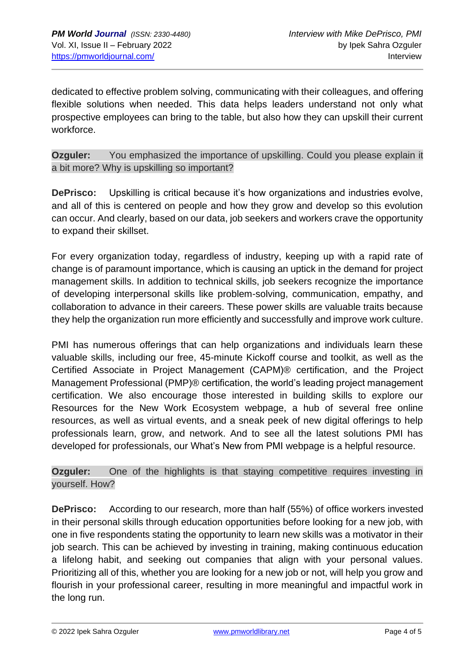dedicated to effective problem solving, communicating with their colleagues, and offering flexible solutions when needed. This data helps leaders understand not only what prospective employees can bring to the table, but also how they can upskill their current workforce.

**Ozguler:** You emphasized the importance of upskilling. Could you please explain it a bit more? Why is upskilling so important?

**DePrisco:** Upskilling is critical because it's how organizations and industries evolve, and all of this is centered on people and how they grow and develop so this evolution can occur. And clearly, based on our data, job seekers and workers crave the opportunity to expand their skillset.

For every organization today, regardless of industry, keeping up with a rapid rate of change is of paramount importance, which is causing an uptick in the demand for project management skills. In addition to technical skills, job seekers recognize the importance of developing interpersonal skills like problem-solving, communication, empathy, and collaboration to advance in their careers. These power skills are valuable traits because they help the organization run more efficiently and successfully and improve work culture.

PMI has numerous offerings that can help organizations and individuals learn these valuable skills, including our free, 45-minute Kickoff course and toolkit, as well as the Certified Associate in Project Management (CAPM)® certification, and the Project Management Professional (PMP)® certification, the world's leading project management certification. We also encourage those interested in building skills to explore our Resources for the New Work Ecosystem webpage, a hub of several free online resources, as well as virtual events, and a sneak peek of new digital offerings to help professionals learn, grow, and network. And to see all the latest solutions PMI has developed for professionals, our What's New from PMI webpage is a helpful resource.

**Ozguler:** One of the highlights is that staying competitive requires investing in yourself. How?

**DePrisco:** According to our research, more than half (55%) of office workers invested in their personal skills through education opportunities before looking for a new job, with one in five respondents stating the opportunity to learn new skills was a motivator in their job search. This can be achieved by investing in training, making continuous education a lifelong habit, and seeking out companies that align with your personal values. Prioritizing all of this, whether you are looking for a new job or not, will help you grow and flourish in your professional career, resulting in more meaningful and impactful work in the long run.